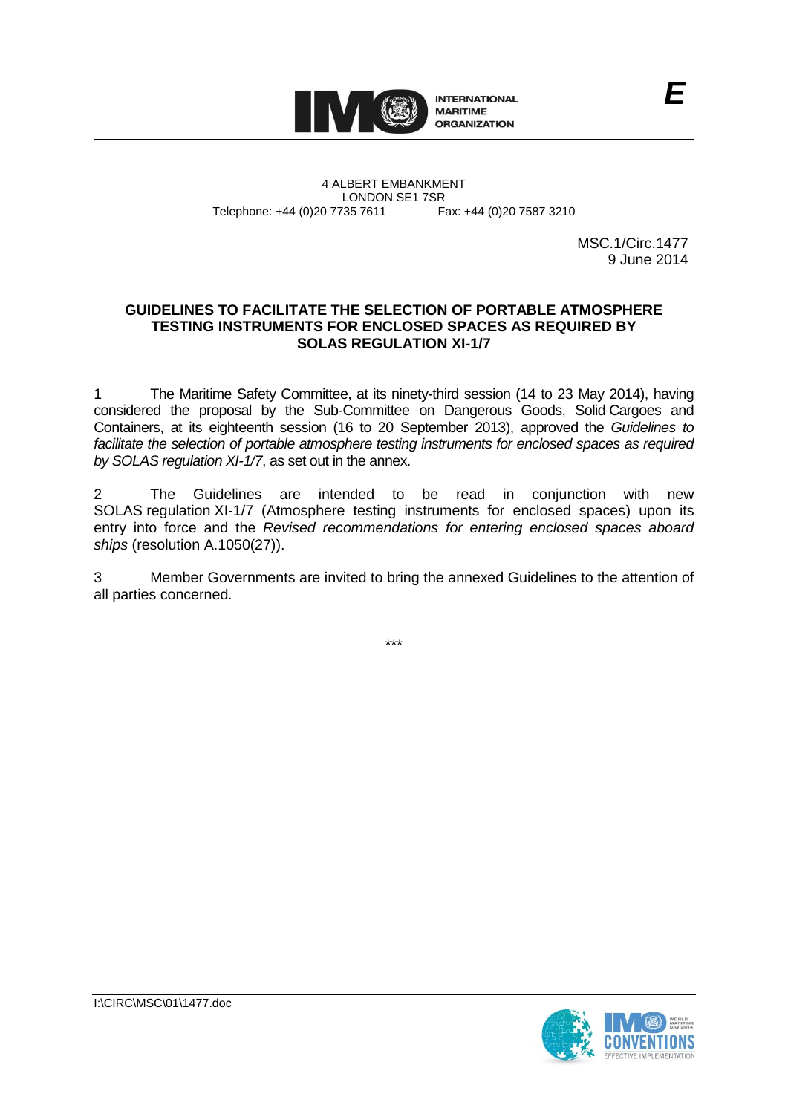

4 ALBERT EMBANKMENT Telephone: +44 (0)20 7735 7611

LONDON SE1 7SR<br>735 7611 Fax: +44 (0)20 7587 3210

MSC.1/Circ.1477 9 June 2014

*E*

## **GUIDELINES TO FACILITATE THE SELECTION OF PORTABLE ATMOSPHERE TESTING INSTRUMENTS FOR ENCLOSED SPACES AS REQUIRED BY SOLAS REGULATION XI-1/7**

1 The Maritime Safety Committee, at its ninety-third session (14 to 23 May 2014), having considered the proposal by the Sub-Committee on Dangerous Goods, Solid Cargoes and Containers, at its eighteenth session (16 to 20 September 2013), approved the *Guidelines to*  facilitate the selection of portable atmosphere testing instruments for enclosed spaces as required *by SOLAS regulation XI-1/7*, as set out in the annex.

2 The Guidelines are intended to be read in conjunction with new SOLAS regulation XI-1/7 (Atmosphere testing instruments for enclosed spaces) upon its entry into force and the *Revised recommendations for entering enclosed spaces aboard ships* (resolution A.1050(27)).

3 Member Governments are invited to bring the annexed Guidelines to the attention of all parties concerned.

\*\*\*

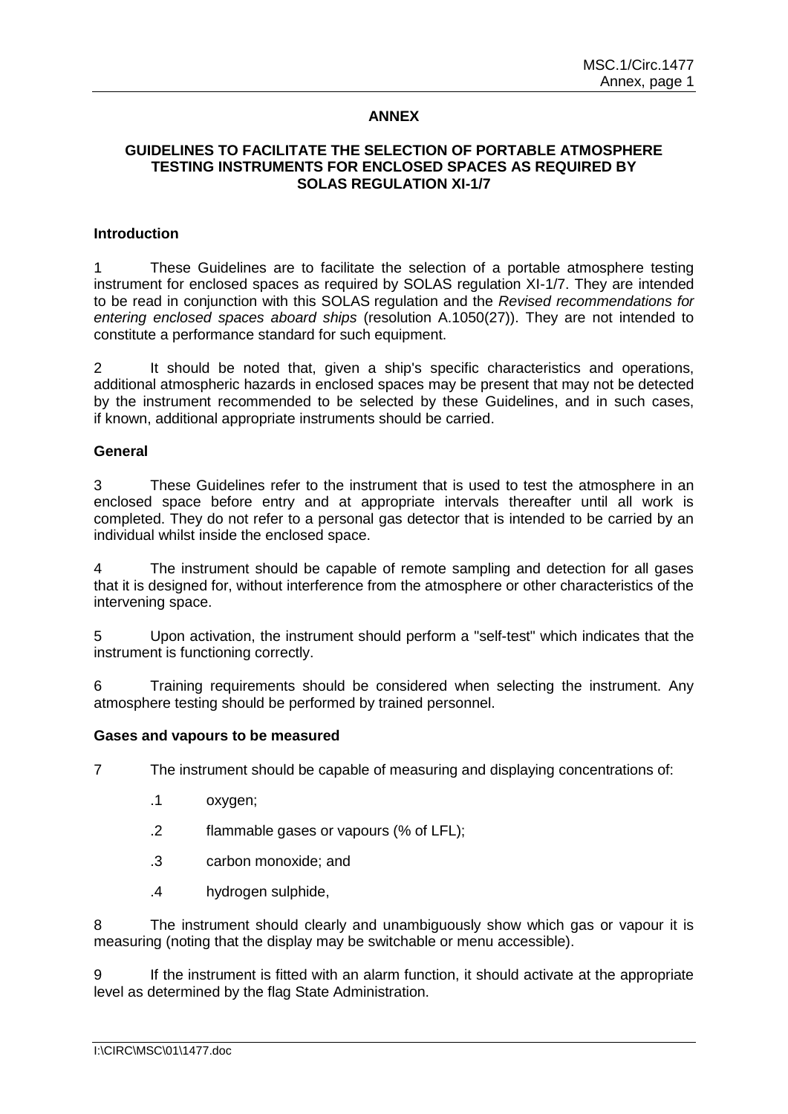# **ANNEX**

# **GUIDELINES TO FACILITATE THE SELECTION OF PORTABLE ATMOSPHERE TESTING INSTRUMENTS FOR ENCLOSED SPACES AS REQUIRED BY SOLAS REGULATION XI-1/7**

## **Introduction**

1 These Guidelines are to facilitate the selection of a portable atmosphere testing instrument for enclosed spaces as required by SOLAS regulation XI-1/7. They are intended to be read in conjunction with this SOLAS regulation and the *Revised recommendations for entering enclosed spaces aboard ships* (resolution A.1050(27)). They are not intended to constitute a performance standard for such equipment.

2 It should be noted that, given a ship's specific characteristics and operations, additional atmospheric hazards in enclosed spaces may be present that may not be detected by the instrument recommended to be selected by these Guidelines, and in such cases, if known, additional appropriate instruments should be carried.

## **General**

3 These Guidelines refer to the instrument that is used to test the atmosphere in an enclosed space before entry and at appropriate intervals thereafter until all work is completed. They do not refer to a personal gas detector that is intended to be carried by an individual whilst inside the enclosed space.

4 The instrument should be capable of remote sampling and detection for all gases that it is designed for, without interference from the atmosphere or other characteristics of the intervening space.

5 Upon activation, the instrument should perform a "self-test" which indicates that the instrument is functioning correctly.

6 Training requirements should be considered when selecting the instrument. Any atmosphere testing should be performed by trained personnel.

#### **Gases and vapours to be measured**

7 The instrument should be capable of measuring and displaying concentrations of:

- .1 oxygen;
- .2 flammable gases or vapours (% of LFL);
- .3 carbon monoxide; and
- .4 hydrogen sulphide,

8 The instrument should clearly and unambiguously show which gas or vapour it is measuring (noting that the display may be switchable or menu accessible).

9 If the instrument is fitted with an alarm function, it should activate at the appropriate level as determined by the flag State Administration.